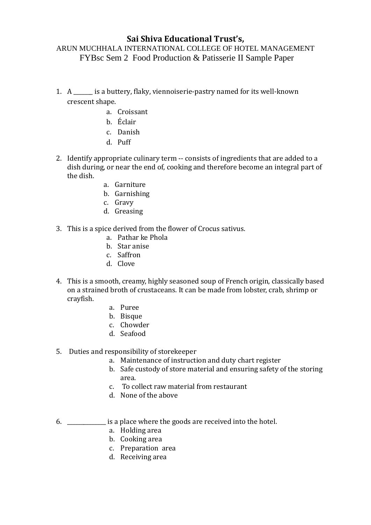# **Sai Shiva Educational Trust's,**

## ARUN MUCHHALA INTERNATIONAL COLLEGE OF HOTEL MANAGEMENT FYBsc Sem 2 Food Production & Patisserie II Sample Paper

- 1. A \_\_\_\_\_\_\_ is a buttery, flaky, viennoiserie-pastry named for its well-known crescent shape.
	- a. Croissant
	- b. Éclair
	- c. Danish
	- d. Puff
- 2. Identify appropriate culinary term -- consists of ingredients that are added to a dish during, or near the end of, cooking and therefore become an integral part of the dish.
	- a. Garniture
	- b. Garnishing
	- c. Gravy
	- d. Greasing
- 3. This is a spice derived from the flower of Crocus sativus.
	- a. Pathar ke Phola
	- b. Star anise
	- c. Saffron
	- d. Clove
- 4. This is a smooth, creamy, highly seasoned soup of French origin, classically based on a strained broth of crustaceans. It can be made from lobster, crab, shrimp or crayfish.
	- a. Puree
	- b. Bisque
	- c. Chowder
	- d. Seafood

## 5. Duties and responsibility of storekeeper

- a. Maintenance of instruction and duty chart register
- b. Safe custody of store material and ensuring safety of the storing area.
- c. To collect raw material from restaurant
- d. None of the above
- 6. \_\_\_\_\_\_\_\_\_\_\_\_\_\_ is a place where the goods are received into the hotel.
	- a. Holding area
	- b. Cooking area
	- c. Preparation area
	- d. Receiving area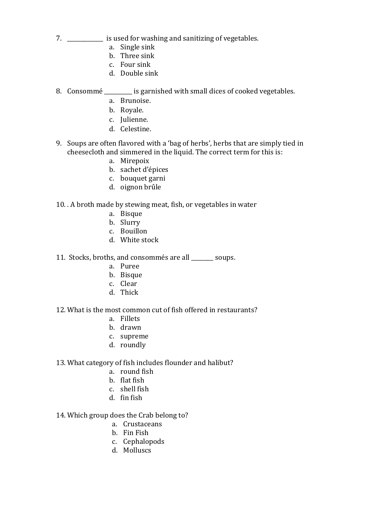- 7. \_\_\_\_\_\_\_\_\_\_\_\_\_ is used for washing and sanitizing of vegetables.
	- a. Single sink
	- b. Three sink
	- c. Four sink
	- d. Double sink
- 8. Consommé \_\_\_\_\_\_\_\_\_\_ is garnished with small dices of cooked vegetables.
	- a. Brunoise.
	- b. Royale.
	- c. Julienne.
	- d. Celestine.
- 9. Soups are often flavored with a 'bag of herbs', herbs that are simply tied in cheesecloth and simmered in the liquid. The correct term for this is:
	- a. Mirepoix
	- b. sachet d'épices
	- c. bouquet garni
	- d. oignon brûle

## 10. . A broth made by stewing meat, fish, or vegetables in water

- a. Bisque
- b. Slurry
- c. Bouillon
- d. White stock
- 11. Stocks, broths, and consommés are all \_\_\_\_\_\_\_\_ soups.
	- a. Puree
	- b. Bisque
	- c. Clear
	- d. Thick

#### 12. What is the most common cut of fish offered in restaurants?

- a. Fillets
- b. drawn
- c. supreme
- d. roundly
- 13. What category of fish includes flounder and halibut?
	- a. round fish
	- b. flat fish
	- c. shell fish
	- d. fin fish

# 14. Which group does the Crab belong to?

- a. Crustaceans
- b. Fin Fish
- c. Cephalopods
- d. Molluscs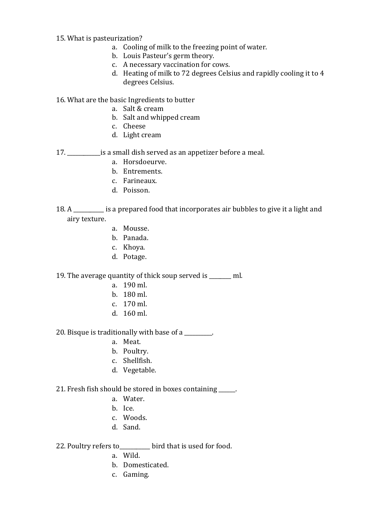## 15. What is pasteurization?

- a. Cooling of milk to the freezing point of water.
- b. Louis Pasteur's germ theory.
- c. A necessary vaccination for cows.
- d. Heating of milk to 72 degrees Celsius and rapidly cooling it to 4 degrees Celsius.

## 16. What are the basic Ingredients to butter

- a. Salt & cream
- b. Salt and whipped cream
- c. Cheese
- d. Light cream

## 17. \_\_\_\_\_\_\_\_\_\_\_\_is a small dish served as an appetizer before a meal.

- a. Horsdoeurve.
- b. Entrements.
- c. Farineaux.
- d. Poisson.
- 18. A cancer is a prepared food that incorporates air bubbles to give it a light and airy texture.
	- a. Mousse.
	- b. Panada.
	- c. Khoya.
	- d. Potage.

#### 19. The average quantity of thick soup served is \_\_\_\_\_\_\_\_ ml.

- a. 190 ml.
- b. 180 ml.
- c. 170 ml.
- d. 160 ml.

20. Bisque is traditionally with base of a

- a. Meat.
- b. Poultry.
- c. Shellfish.
- d. Vegetable.

#### 21. Fresh fish should be stored in boxes containing \_\_\_\_\_\_.

- a. Water.
- b. Ice.
- c. Woods.
- d. Sand.

## 22. Poultry refers to bird that is used for food.

- a. Wild.
- b. Domesticated.
- c. Gaming.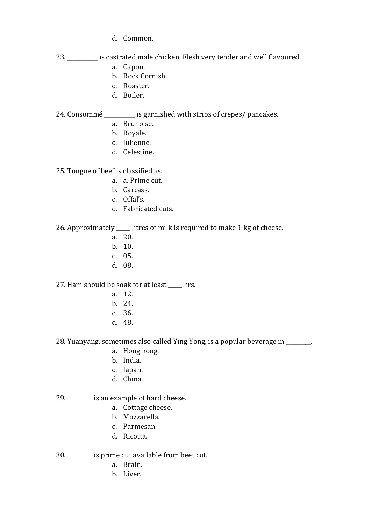- d. Common.
- 23. \_\_\_\_\_\_\_\_\_\_\_ is castrated male chicken. Flesh very tender and well flavoured.
	- a. Capon.
	- b. Rock Cornish.
	- c. Roaster.
	- d. Boiler.

## 24. Consommé is garnished with strips of crepes/ pancakes.

- a. Brunoise.
- b. Royale.
- c. Julienne.
- d. Celestine.

25. Tongue of beef is classified as.

- a. a. Prime cut.
- b. Carcass.
- c. Offal's.
- d. Fabricated cuts.

26. Approximately \_\_\_\_\_ litres of milk is required to make 1 kg of cheese.

- a. 20.
- b. 10.
- c. 05.
- d. 08.

27. Ham should be soak for at least \_\_\_\_\_ hrs.

- a. 12.
- b. 24.
- c. 36.
- d. 48.

28. Yuanyang, sometimes also called Ying Yong, is a popular beverage in \_\_\_\_\_\_\_\_\_.

- a. Hong kong.
- b. India.
- c. Japan.
- d. China.

29. \_\_\_\_\_\_\_\_\_ is an example of hard cheese.

- a. Cottage cheese.
- b. Mozzarella.
- c. Parmesan
- d. Ricotta.
- 30. \_\_\_\_\_\_\_\_\_ is prime cut available from beet cut.
	- a. Brain.
	- b. Liver.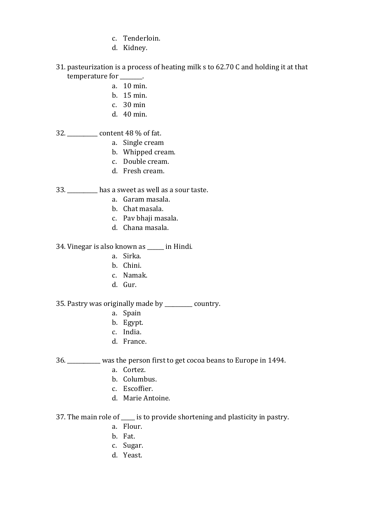- c. Tenderloin.
- d. Kidney.
- 31. pasteurization is a process of heating milk s to 62.70 C and holding it at that temperature for  $\qquad \qquad$ .
	- a. 10 min.
	- b. 15 min.
	- c. 30 min
	- d. 40 min.

### 32. \_\_\_\_\_\_\_\_\_\_\_ content 48 % of fat.

- a. Single cream
- b. Whipped cream.
- c. Double cream.
- d. Fresh cream.

33. \_\_\_\_\_\_\_\_\_\_\_ has a sweet as well as a sour taste.

- a. Garam masala.
- b. Chat masala.
- c. Pav bhaji masala.
- d. Chana masala.

34. Vinegar is also known as \_\_\_\_\_\_ in Hindi.

- a. Sirka.
- b. Chini.
- c. Namak.
- d. Gur.

35. Pastry was originally made by country.

- a. Spain
- b. Egypt.
- c. India.
- d. France.

36. \_\_\_\_\_\_\_\_\_\_\_\_ was the person first to get cocoa beans to Europe in 1494.

- a. Cortez.
- b. Columbus.
- c. Escoffier.
- d. Marie Antoine.

37. The main role of \_\_\_\_\_ is to provide shortening and plasticity in pastry.

- a. Flour.
- b. Fat.
- c. Sugar.
- d. Yeast.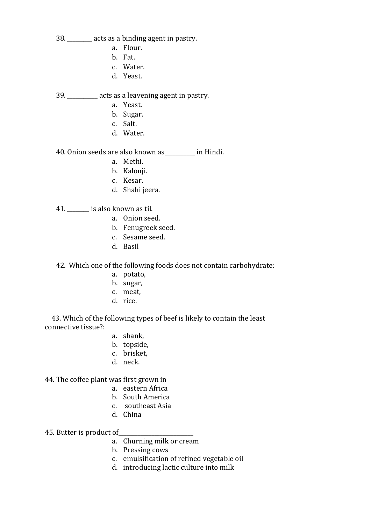38. \_\_\_\_\_\_\_\_\_ acts as a binding agent in pastry.

- a. Flour.
- b. Fat.
- c. Water.
- d. Yeast.

39. \_\_\_\_\_\_\_\_\_\_\_ acts as a leavening agent in pastry.

- a. Yeast.
- b. Sugar.
- c. Salt.
- d. Water.

40. Onion seeds are also known as\_\_\_\_\_\_\_\_\_\_\_ in Hindi.

- a. Methi.
- b. Kalonji.
- c. Kesar.
- d. Shahi jeera.

41. **is also known as til.** 

- a. Onion seed.
- b. Fenugreek seed.
- c. Sesame seed.
- d. Basil

42. Which one of the following foods does not contain carbohydrate:

- a. potato,
- b. sugar,
- c. meat,
- d. rice.

 43. Which of the following types of beef is likely to contain the least connective tissue?:

- a. shank,
- b. topside,
- c. brisket,
- d. neck.

44. The coffee plant was first grown in

- a. eastern Africa
- b. South America
- c. southeast Asia
- d. China

45. Butter is product of\_

- a. Churning milk or cream
- b. Pressing cows
- c. emulsification of refined vegetable oil
- d. introducing lactic culture into milk